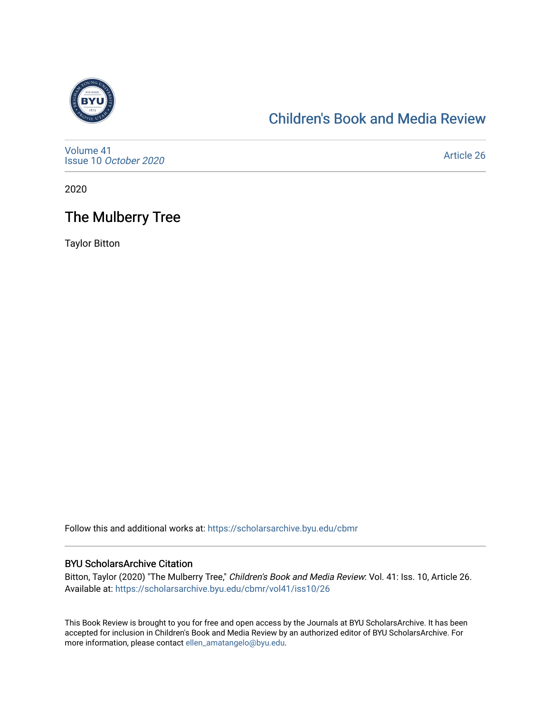

### [Children's Book and Media Review](https://scholarsarchive.byu.edu/cbmr)

[Volume 41](https://scholarsarchive.byu.edu/cbmr/vol41) Issue 10 [October 2020](https://scholarsarchive.byu.edu/cbmr/vol41/iss10)

[Article 26](https://scholarsarchive.byu.edu/cbmr/vol41/iss10/26) 

2020

# The Mulberry Tree

Taylor Bitton

Follow this and additional works at: [https://scholarsarchive.byu.edu/cbmr](https://scholarsarchive.byu.edu/cbmr?utm_source=scholarsarchive.byu.edu%2Fcbmr%2Fvol41%2Fiss10%2F26&utm_medium=PDF&utm_campaign=PDFCoverPages) 

#### BYU ScholarsArchive Citation

Bitton, Taylor (2020) "The Mulberry Tree," Children's Book and Media Review: Vol. 41: Iss. 10, Article 26. Available at: [https://scholarsarchive.byu.edu/cbmr/vol41/iss10/26](https://scholarsarchive.byu.edu/cbmr/vol41/iss10/26?utm_source=scholarsarchive.byu.edu%2Fcbmr%2Fvol41%2Fiss10%2F26&utm_medium=PDF&utm_campaign=PDFCoverPages) 

This Book Review is brought to you for free and open access by the Journals at BYU ScholarsArchive. It has been accepted for inclusion in Children's Book and Media Review by an authorized editor of BYU ScholarsArchive. For more information, please contact [ellen\\_amatangelo@byu.edu.](mailto:ellen_amatangelo@byu.edu)